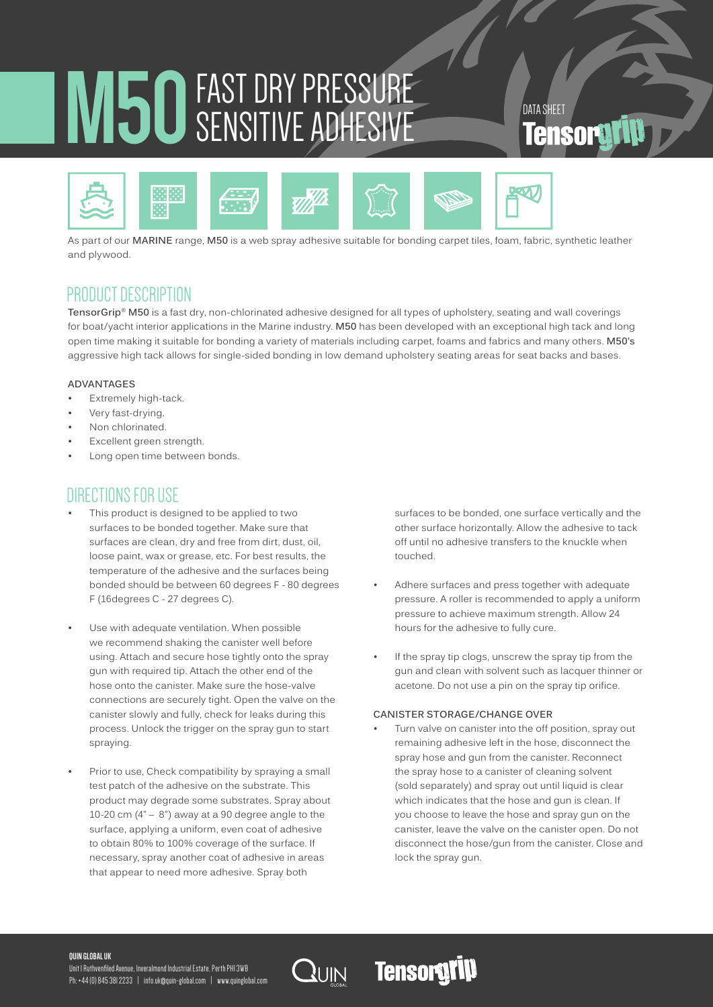# **M50**FAST DRY PRESSURE SENSITIVE ADHESIVE DATA SHEET



As part of our **MARINE** range, **M50** is a web spray adhesive suitable for bonding carpet tiles, foam, fabric, synthetic leather and plywood.

## PRODUCT DESCRIPTION

**TensorGrip® M50** is a fast dry, non-chlorinated adhesive designed for all types of upholstery, seating and wall coverings for boat/yacht interior applications in the Marine industry. **M50** has been developed with an exceptional high tack and long open time making it suitable for bonding a variety of materials including carpet, foams and fabrics and many others. **M50's** aggressive high tack allows for single-sided bonding in low demand upholstery seating areas for seat backs and bases.

### **ADVANTAGES**

- Extremely high-tack.
- Very fast-drying.
- Non chlorinated.
- Excellent green strength.
- Long open time between bonds.

## DIRECTIONS FOR USE

- This product is designed to be applied to two surfaces to be bonded together. Make sure that surfaces are clean, dry and free from dirt, dust, oil, loose paint, wax or grease, etc. For best results, the temperature of the adhesive and the surfaces being bonded should be between 60 degrees F - 80 degrees F (16degrees C - 27 degrees C).
- Use with adequate ventilation. When possible we recommend shaking the canister well before using. Attach and secure hose tightly onto the spray gun with required tip. Attach the other end of the hose onto the canister. Make sure the hose-valve connections are securely tight. Open the valve on the canister slowly and fully, check for leaks during this process. Unlock the trigger on the spray gun to start spraying.
- Prior to use, Check compatibility by spraying a small test patch of the adhesive on the substrate. This product may degrade some substrates. Spray about 10-20 cm  $(4 - 8)$  away at a 90 degree angle to the surface, applying a uniform, even coat of adhesive to obtain 80% to 100% coverage of the surface. If necessary, spray another coat of adhesive in areas that appear to need more adhesive. Spray both

surfaces to be bonded, one surface vertically and the other surface horizontally. Allow the adhesive to tack off until no adhesive transfers to the knuckle when touched.

- Adhere surfaces and press together with adequate pressure. A roller is recommended to apply a uniform pressure to achieve maximum strength. Allow 24 hours for the adhesive to fully cure.
- If the spray tip clogs, unscrew the spray tip from the gun and clean with solvent such as lacquer thinner or acetone. Do not use a pin on the spray tip orifice.

### **CANISTER STORAGE/CHANGE OVER**

**Tensorgrip** 

Turn valve on canister into the off position, spray out remaining adhesive left in the hose, disconnect the spray hose and gun from the canister. Reconnect the spray hose to a canister of cleaning solvent (sold separately) and spray out until liquid is clear which indicates that the hose and gun is clean. If you choose to leave the hose and spray gun on the canister, leave the valve on the canister open. Do not disconnect the hose/gun from the canister. Close and lock the spray gun.

#### **QUIN GLOBAL UK**